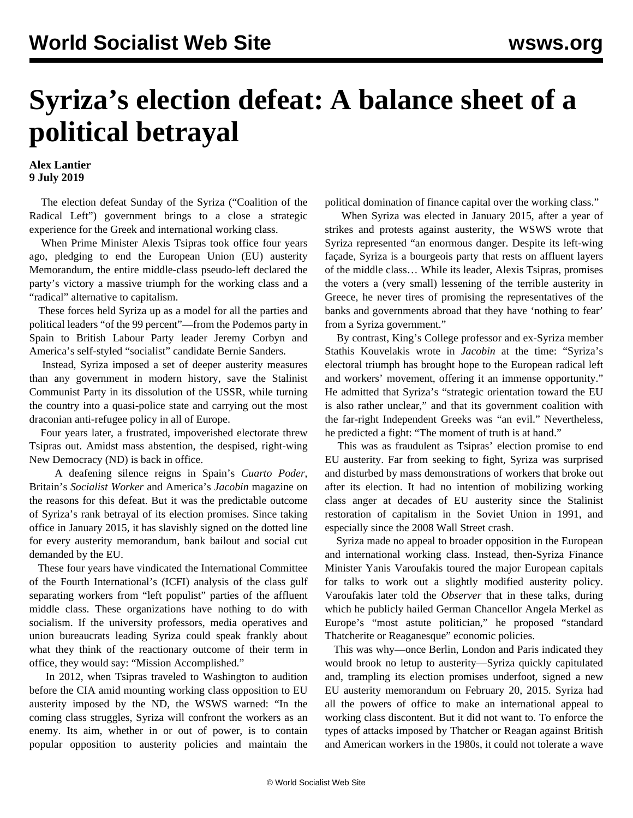## **Syriza's election defeat: A balance sheet of a political betrayal**

## **Alex Lantier 9 July 2019**

 The election defeat Sunday of the Syriza ("Coalition of the Radical Left") government brings to a close a strategic experience for the Greek and international working class.

 When Prime Minister Alexis Tsipras took office four years ago, pledging to end the European Union (EU) austerity Memorandum, the entire middle-class pseudo-left declared the party's victory a massive triumph for the working class and a "radical" alternative to capitalism.

 These forces held Syriza up as a model for all the parties and political leaders "of the 99 percent"—from the Podemos party in Spain to British Labour Party leader Jeremy Corbyn and America's self-styled "socialist" candidate Bernie Sanders.

 Instead, Syriza imposed a set of deeper austerity measures than any government in modern history, save the Stalinist Communist Party in its dissolution of the USSR, while turning the country into a quasi-police state and carrying out the most draconian anti-refugee policy in all of Europe.

 Four years later, a frustrated, impoverished electorate threw Tsipras out. Amidst mass abstention, the despised, right-wing New Democracy (ND) is back in office.

 A deafening silence reigns in Spain's *Cuarto Poder*, Britain's *Socialist Worker* and America's *Jacobin* magazine on the reasons for this defeat. But it was the predictable outcome of Syriza's rank betrayal of its election promises. Since taking office in January 2015, it has slavishly signed on the dotted line for every austerity memorandum, bank bailout and social cut demanded by the EU.

 These four years have vindicated the International Committee of the Fourth International's (ICFI) analysis of the class gulf separating workers from "left populist" parties of the affluent middle class. These organizations have nothing to do with socialism. If the university professors, media operatives and union bureaucrats leading Syriza could speak frankly about what they think of the reactionary outcome of their term in office, they would say: "Mission Accomplished."

 In 2012, when Tsipras traveled to Washington to audition before the CIA amid mounting working class opposition to EU austerity imposed by the ND, the WSWS [warned:](/en/articles/2012/05/pers-m24.html) "In the coming class struggles, Syriza will confront the workers as an enemy. Its aim, whether in or out of power, is to contain popular opposition to austerity policies and maintain the political domination of finance capital over the working class."

 When Syriza was elected in January 2015, after a year of strikes and protests against austerity, the WSWS [wrote](/en/articles/2015/01/24/pers-j24.html) that Syriza represented "an enormous danger. Despite its left-wing façade, Syriza is a bourgeois party that rests on affluent layers of the middle class… While its leader, Alexis Tsipras, promises the voters a (very small) lessening of the terrible austerity in Greece, he never tires of promising the representatives of the banks and governments abroad that they have 'nothing to fear' from a Syriza government."

 By contrast, King's College professor and ex-Syriza member Stathis Kouvelakis [wrote](https://www.jacobinmag.com/2015/01/syriza-greece-victory-kouvelakis-left/) in *Jacobin* at the time: "Syriza's electoral triumph has brought hope to the European radical left and workers' movement, offering it an immense opportunity." He admitted that Syriza's "strategic orientation toward the EU is also rather unclear," and that its government coalition with the far-right Independent Greeks was "an evil." Nevertheless, he predicted a fight: "The moment of truth is at hand."

 This was as fraudulent as Tsipras' election promise to end EU austerity. Far from seeking to fight, Syriza was surprised and disturbed by mass demonstrations of workers that broke out after its election. It had no intention of mobilizing working class anger at decades of EU austerity since the Stalinist restoration of capitalism in the Soviet Union in 1991, and especially since the 2008 Wall Street crash.

 Syriza made no appeal to broader opposition in the European and international working class. Instead, then-Syriza Finance Minister Yanis Varoufakis toured the major European capitals for talks to work out a slightly modified austerity policy. Varoufakis later told the *Observer* that in these talks, during which he publicly hailed German Chancellor Angela Merkel as Europe's "most astute politician," he proposed "standard Thatcherite or Reaganesque" economic policies.

 This was why—once Berlin, London and Paris indicated they would brook no letup to austerity—Syriza quickly capitulated and, trampling its election promises underfoot, signed a new EU austerity memorandum on February 20, 2015. Syriza had all the powers of office to make an international appeal to working class discontent. But it did not want to. To enforce the types of attacks imposed by Thatcher or Reagan against British and American workers in the 1980s, it could not tolerate a wave